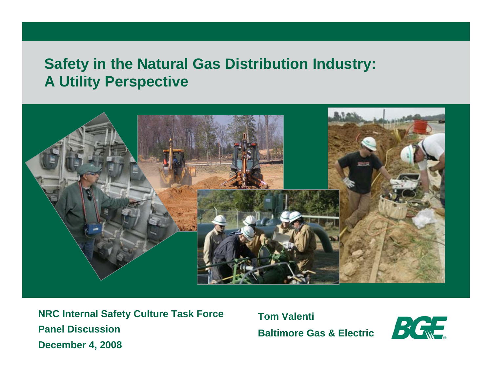#### **Safety in the Natural Gas Distribution Industry: A Utility Perspective**



**NRC Internal Safety Culture Task Force Panel DiscussionDecember 4, 2008**

**Tom ValentiBaltimore Gas & Electric**

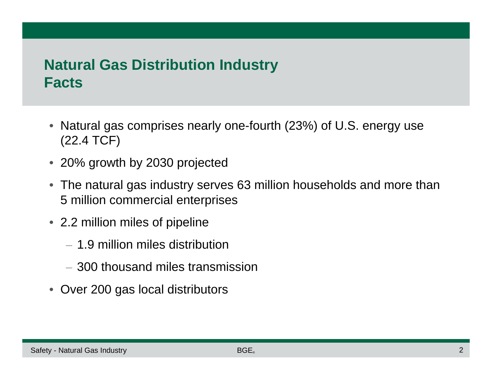## **Natural Gas Distribution Industry Facts**

- Natural gas comprises nearly one-fourth (23%) of U.S. energy use (22.4 TCF)
- 20% growth by 2030 projected
- The natural gas industry serves 63 million households and more than 5 million commercial enterprises
- 2.2 million miles of pipeline
	- 1.9 million miles distribution
	- 300 thousand miles transmission
- Over 200 gas local distributors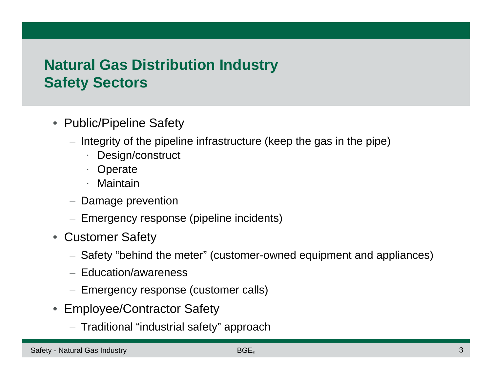# **Natural Gas Distribution Industry Safety Sectors**

- Public/Pipeline Safety
	- Integrity of the pipeline infrastructure (keep the gas in the pipe)
		- · Design/construct
		- **Operate**
		- · Maintain
	- Damage prevention
	- Emergency response (pipeline incidents)
- Customer Safety
	- Safety "behind the meter" (customer-owned equipment and appliances)
	- Education/awareness
	- Emergency response (customer calls)
- Employee/Contractor Safety
	- Traditional "industrial safety" approach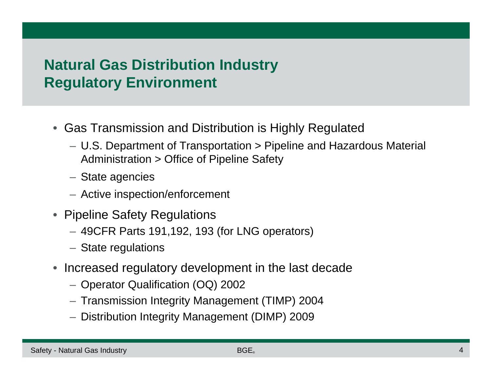# **Natural Gas Distribution Industry Regulatory Environment**

- Gas Transmission and Distribution is Highly Regulated
	- U.S. Department of Transportation > Pipeline and Hazardous Material Administration > Office of Pipeline Safety
	- State agencies
	- Active inspection/enforcement
- Pipeline Safety Regulations
	- 49CFR Parts 191,192, 193 (for LNG operators)
	- State regulations
- Increased regulatory development in the last decade
	- Operator Qualification (OQ) 2002
	- Transmission Integrity Management (TIMP) 2004
	- Distribution Integrity Management (DIMP) 2009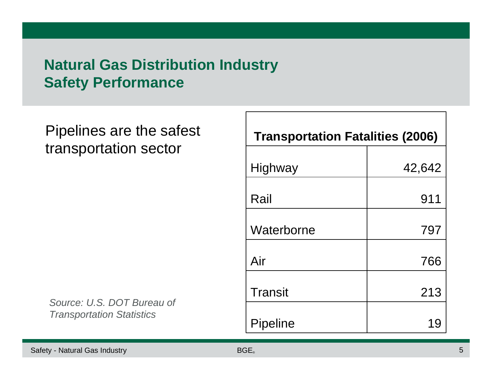## **Natural Gas Distribution Industry Safety Performance**

Pipelines are the safest transportation sector

*Source: U.S. DOT Bureau of Transportation Statistics*

| <b>Transportation Fatalities (2006)</b> |        |  |  |  |  |  |
|-----------------------------------------|--------|--|--|--|--|--|
| <b>Highway</b>                          | 42,642 |  |  |  |  |  |
| Rail                                    | 911    |  |  |  |  |  |
| Waterborne                              | 797    |  |  |  |  |  |
| Air                                     | 766    |  |  |  |  |  |
| <b>Transit</b>                          | 213    |  |  |  |  |  |
| Pipeline                                |        |  |  |  |  |  |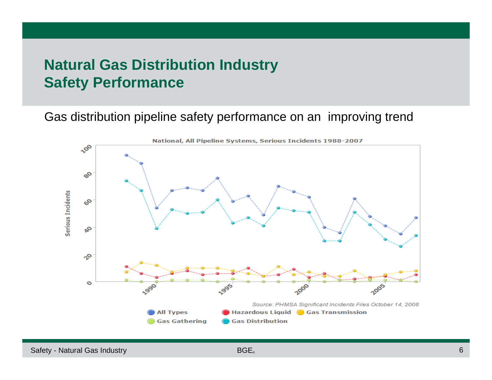#### **Natural Gas Distribution Industry Safety Performance**

Gas distribution pipeline safety performance on an improving trend

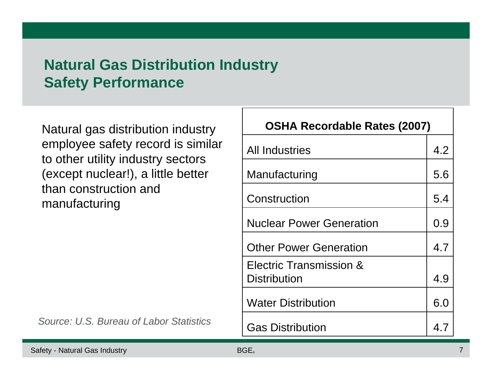## **Natural Gas Distribution Industry Safety Performance**

Natural gas distribution industry employee safety record is similar to other utility industry sectors (except nuclear!), a little better than construction and manufacturing

4.7 *Source: U.S. Bureau of Labor Statistics*

| <b>OSHA Recordable Rates (2007)</b> |     |  |  |  |  |
|-------------------------------------|-----|--|--|--|--|
| <b>All Industries</b>               | 4.2 |  |  |  |  |
| Manufacturing                       | 5.6 |  |  |  |  |
| Construction                        | 5.4 |  |  |  |  |
| <b>Nuclear Power Generation</b>     | 0.9 |  |  |  |  |
| <b>Other Power Generation</b>       | 4.7 |  |  |  |  |
| Electric Transmission &             |     |  |  |  |  |
| <b>Distribution</b>                 | 4.9 |  |  |  |  |
| <b>Water Distribution</b>           | 6.0 |  |  |  |  |
| <b>Gas Distribution</b>             | 47  |  |  |  |  |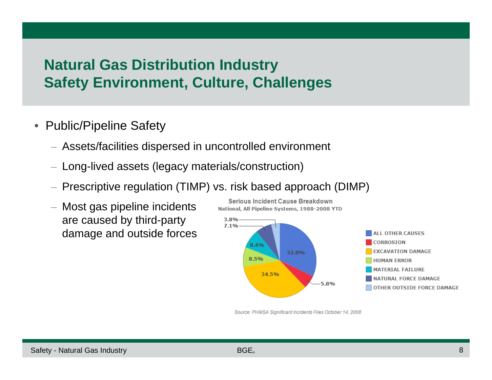## **Natural Gas Distribution Industry Safety Environment, Culture, Challenges**

- • Public/Pipeline Safety
	- Assets/facilities dispersed in uncontrolled environment
	- Long-lived assets (legacy materials/construction)
	- Prescriptive regulation (TIMP) vs. risk based approach (DIMP)
	- Most gas pipeline incidents are caused by third-party damage and outside forces



Source: PHMSA Significant Incidents Files October 14, 2008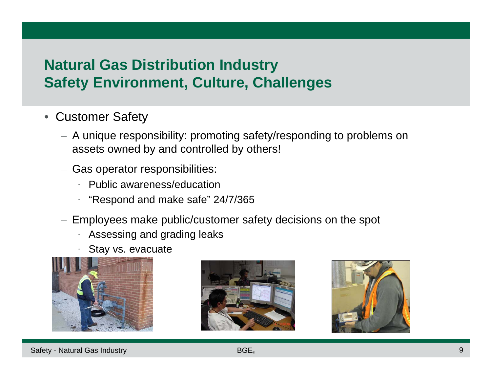# **Natural Gas Distribution Industry Safety Environment, Culture, Challenges**

- $\bullet$  Customer Safety
	- A unique responsibility: promoting safety/responding to problems on assets owned by and controlled by others!
	- Gas operator responsibilities:
		- · Public awareness/education
		- · "Respond and make safe" 24/7/365
	- Employees make public/customer safety decisions on the spot
		- ·Assessing and grading leaks
		- ·Stay vs. evacuate





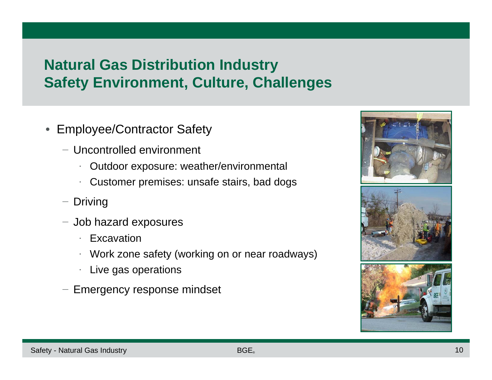# **Natural Gas Distribution Industry Safety Environment, Culture, Challenges**

- • Employee/Contractor Safety
	- − Uncontrolled environment
		- ·Outdoor exposure: weather/environmental
		- ·Customer premises: unsafe stairs, bad dogs
	- − Driving
	- − Job hazard exposures
		- · Excavation
		- · Work zone safety (working on or near roadways)
		- ·Live gas operations
	- − Emergency response mindset

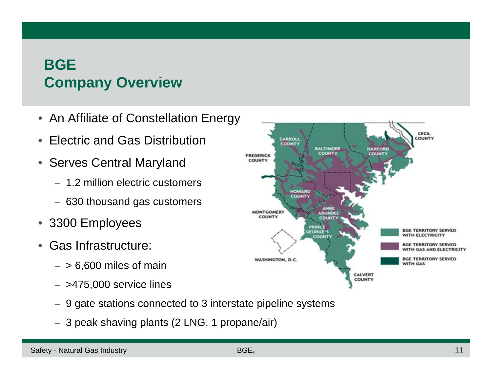# **BGECompany Overview**

- An Affiliate of Constellation Energy
- •Electric and Gas Distribution
- Serves Central Maryland
	- 1.2 million electric customers
	- 630 thousand gas customers
- $\bullet$ 3300 Employees
- • Gas Infrastructure:
	- $-$  > 6,600 miles of main
	- $-$  >475,000 service lines
	- $-$  9 gate stations connected to 3 interstate pipeline systems
	- 3 peak shaving plants (2 LNG, 1 propane/air)

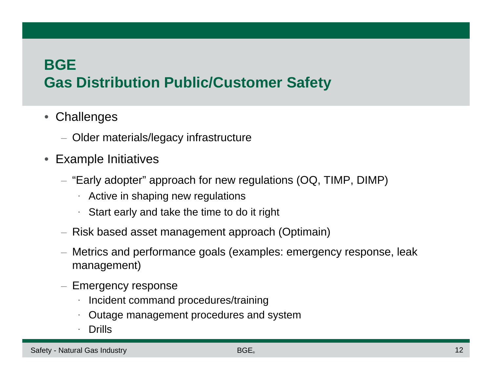#### **BGE**

# **Gas Distribution Public/Customer Safety**

- $\bullet$ **Challenges** 
	- Older materials/legacy infrastructure
- $\bullet$  Example Initiatives
	- "Early adopter" approach for new regulations (OQ, TIMP, DIMP)
		- ·Active in shaping new regulations
		- ·Start early and take the time to do it right
	- Risk based asset management approach (Optimain)
	- Metrics and performance goals (examples: emergency response, leak management)
	- Emergency response
		- ·Incident command procedures/training
		- ·Outage management procedures and system
		- ·Drills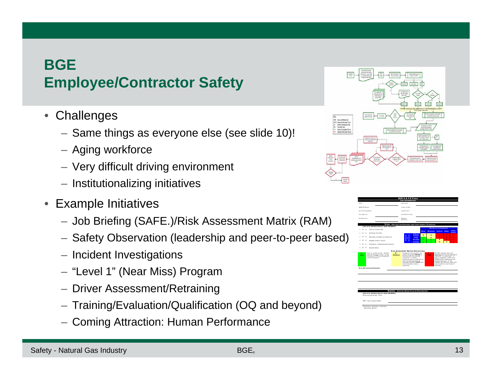#### **BGEEmployee/Contractor Safety**

- $\bullet$ **Challenges** 
	- Same things as everyone else (see slide 10)!
	- Aging workforce
	- Very difficult driving environment
	- Institutionalizing initiatives
- Example Initiatives
	- Job Briefing (SAFE.)/Risk Assessment Matrix (RAM)
	- Safety Observation (leadership and peer-to-peer based)
	- Incident Investigations
	- "Level 1" (Near Miss) Program
	- Driver Assessment/Retraining
	- Training/Evaluation/Qualification (OQ and beyond)
	- Coming Attraction: Human Performance



|                   |              |                                                                | <b>BGE S.A.F.E FORM</b>                                                                                                                                                                   |         |          |                                                                                                                                                                                                       |              |                     |
|-------------------|--------------|----------------------------------------------------------------|-------------------------------------------------------------------------------------------------------------------------------------------------------------------------------------------|---------|----------|-------------------------------------------------------------------------------------------------------------------------------------------------------------------------------------------------------|--------------|---------------------|
|                   |              |                                                                | <b>JOB INFORMATION</b>                                                                                                                                                                    |         |          |                                                                                                                                                                                                       |              |                     |
| DATE:             |              |                                                                | LOCATION:                                                                                                                                                                                 |         |          |                                                                                                                                                                                                       |              |                     |
| WMS At Orose:     |              |                                                                | Cross Street:                                                                                                                                                                             |         |          |                                                                                                                                                                                                       |              |                     |
| # or Transvisions |              |                                                                | County/City:                                                                                                                                                                              |         |          |                                                                                                                                                                                                       |              |                     |
| CALL BACK #:      |              |                                                                | Joe Descermon:                                                                                                                                                                            |         |          |                                                                                                                                                                                                       |              |                     |
| ALTERNATE #:      |              |                                                                | <b>NEAREST</b>                                                                                                                                                                            |         |          |                                                                                                                                                                                                       |              |                     |
|                   |              |                                                                | HOSPITAL:                                                                                                                                                                                 |         |          |                                                                                                                                                                                                       |              |                     |
|                   |              |                                                                | STOP - REVIEW JOB HAZARDS AND CONTINGENCY PLANNING                                                                                                                                        |         |          |                                                                                                                                                                                                       |              |                     |
|                   |              | JOB SITE SUPERVISOR & TEAM MEMBERS                             |                                                                                                                                                                                           |         |          | <b>Maximum Consequence</b>                                                                                                                                                                            |              |                     |
| M M<br>п          |              | <b>TRAFFIC CONDITIONS</b>                                      |                                                                                                                                                                                           | Mining  | Moderate | Serious                                                                                                                                                                                               | Malor        | Catasu              |
| M                 | $\mathbb{N}$ | EXTERNAL FACTORS                                               | Almost                                                                                                                                                                                    | M       | M        | ×                                                                                                                                                                                                     | $\mathbf{H}$ | trophic<br>н        |
| M                 | $\mathbb{N}$ | WEATHER (CURRENT & FORECAST)                                   | Ukathool<br>Certain<br>Likely                                                                                                                                                             | L       | M        | ×                                                                                                                                                                                                     | $\mathbf{H}$ | н                   |
| M                 | $\mathbb{N}$ | <b>GENERAL PUBLIC SAFETY</b>                                   | <b>Possible</b><br>Unlikely                                                                                                                                                               | t.<br>٠ | t.<br>t. | M<br>м                                                                                                                                                                                                | m<br>M       | $\blacksquare$<br>н |
| M                 | $\mathbb{N}$ | OVERHEAD / UNDERGROUND HAZARD                                  |                                                                                                                                                                                           |         |          |                                                                                                                                                                                                       |              |                     |
| M                 | $_{\rm M}$   | <b>DANGER ZONE</b>                                             |                                                                                                                                                                                           |         |          |                                                                                                                                                                                                       |              |                     |
|                   |              | increases, STOP and implement<br>control measures              | starting task and proceed<br>cautiously. If control<br>measures prove insufficient or<br>risks increase because of<br>changing condition STOP task<br>and resystuate control<br>measures. |         |          | "MEDIUM" or lower level. If<br>task is underway. STOP, and<br>IMMEDIATELY implement risk<br>control measures. If risk<br>CANNOT be reduced, stop work.<br>and excalate to next level of<br>authority. |              |                     |
|                   |              | <b>DISK MITIGATION STRATEGY-</b>                               |                                                                                                                                                                                           |         |          |                                                                                                                                                                                                       |              |                     |
|                   |              |                                                                |                                                                                                                                                                                           |         |          |                                                                                                                                                                                                       |              |                     |
|                   |              | JOB SITE SUPERVISOR & TEAM MEMBERS<br>DETAILED IN SCORE / TASK | <b>ASSESS - REVIEW WORK PLAN &amp; PROCEDURES</b>                                                                                                                                         |         |          |                                                                                                                                                                                                       |              |                     |
|                   |              | PPE / Tools & EquipMENT                                        |                                                                                                                                                                                           |         |          |                                                                                                                                                                                                       |              |                     |
|                   |              | TRENCHING / SHORING / CONFINED<br>- ENCLOSED SPACES            |                                                                                                                                                                                           |         |          |                                                                                                                                                                                                       |              |                     |